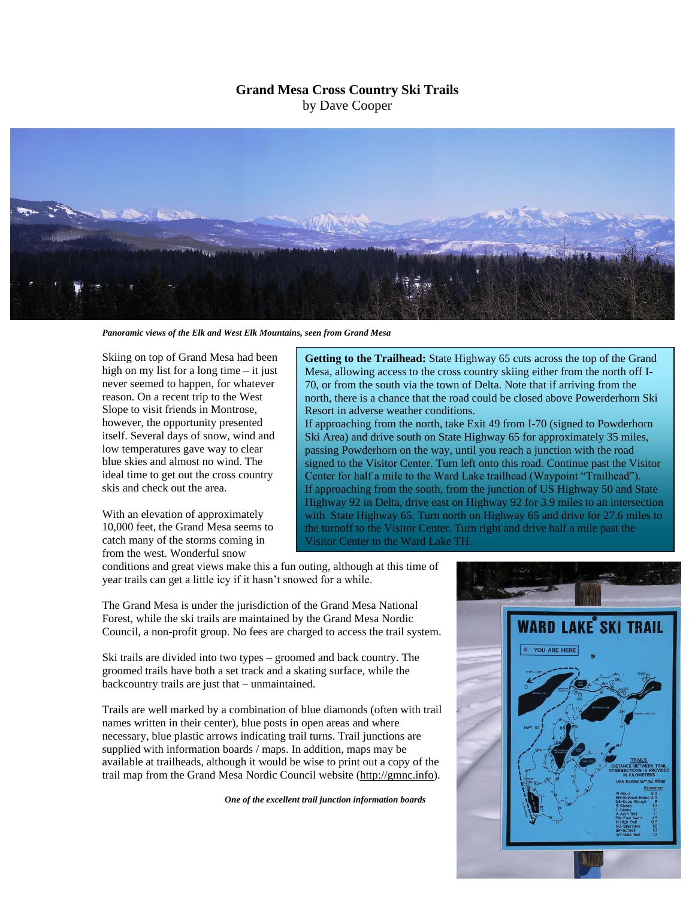## **Grand Mesa Cross Country Ski Trails** by Dave Cooper



*Panoramic views of the Elk and West Elk Mountains, seen from Grand Mesa*

Skiing on top of Grand Mesa had been high on my list for a long time – it just never seemed to happen, for whatever reason. On a recent trip to the West Slope to visit friends in Montrose, however, the opportunity presented itself. Several days of snow, wind and low temperatures gave way to clear blue skies and almost no wind. The ideal time to get out the cross country skis and check out the area.

With an elevation of approximately 10,000 feet, the Grand Mesa seems to catch many of the storms coming in from the west. Wonderful snow

**Getting to the Trailhead:** State Highway 65 cuts across the top of the Grand Mesa, allowing access to the cross country skiing either from the north off I-70, or from the south via the town of Delta. Note that if arriving from the north, there is a chance that the road could be closed above Powerderhorn Ski Resort in adverse weather conditions.

If approaching from the north, take Exit 49 from I-70 (signed to Powderhorn Ski Area) and drive south on State Highway 65 for approximately 35 miles, passing Powderhorn on the way, until you reach a junction with the road signed to the Visitor Center. Turn left onto this road. Continue past the Visitor Center for half a mile to the Ward Lake trailhead (Waypoint "Trailhead"). If approaching from the south, from the junction of US Highway 50 and State Highway 92 in Delta, drive east on Highway 92 for 3.9 miles to an intersection with State Highway 65. Turn north on Highway 65 and drive for 27.6 miles to the turnoff to the Visitor Center. Turn right and drive half a mile past the Visitor Center to the Ward Lake TH.

conditions and great views make this a fun outing, although at this time of year trails can get a little icy if it hasn't snowed for a while.

The Grand Mesa is under the jurisdiction of the Grand Mesa National Forest, while the ski trails are maintained by the Grand Mesa Nordic Council, a non-profit group. No fees are charged to access the trail system.

Ski trails are divided into two types – groomed and back country. The groomed trails have both a set track and a skating surface, while the backcountry trails are just that – unmaintained.

Trails are well marked by a combination of blue diamonds (often with trail names written in their center), blue posts in open areas and where necessary, blue plastic arrows indicating trail turns. Trail junctions are supplied with information boards / maps. In addition, maps may be available at trailheads, although it would be wise to print out a copy of the trail map from the Grand Mesa Nordic Council website (http://gmnc.info).

*One of the excellent trail junction information boards*

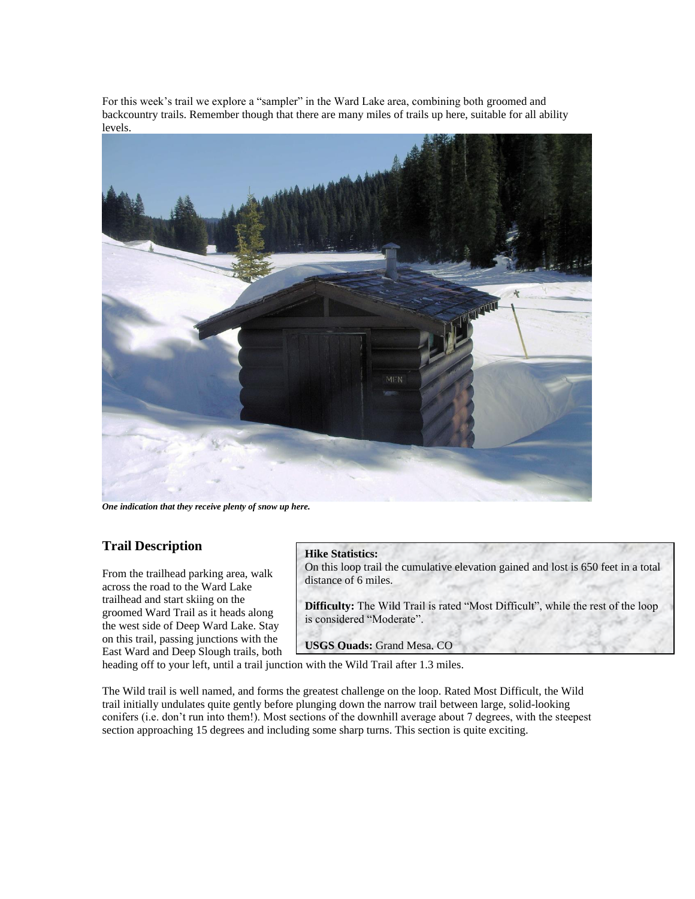For this week's trail we explore a "sampler" in the Ward Lake area, combining both groomed and backcountry trails. Remember though that there are many miles of trails up here, suitable for all ability levels.



*One indication that they receive plenty of snow up here.*

## **Trail Description**

From the trailhead parking area, walk across the road to the Ward Lake trailhead and start skiing on the groomed Ward Trail as it heads along the west side of Deep Ward Lake. Stay on this trail, passing junctions with the East Ward and Deep Slough trails, both

## **Hike Statistics:**

On this loop trail the cumulative elevation gained and lost is 650 feet in a total distance of 6 miles.

**Difficulty:** The Wild Trail is rated "Most Difficult", while the rest of the loop is considered "Moderate".

**USGS Quads:** Grand Mesa, CO

heading off to your left, until a trail junction with the Wild Trail after 1.3 miles.

The Wild trail is well named, and forms the greatest challenge on the loop. Rated Most Difficult, the Wild trail initially undulates quite gently before plunging down the narrow trail between large, solid-looking conifers (i.e. don't run into them!). Most sections of the downhill average about 7 degrees, with the steepest section approaching 15 degrees and including some sharp turns. This section is quite exciting.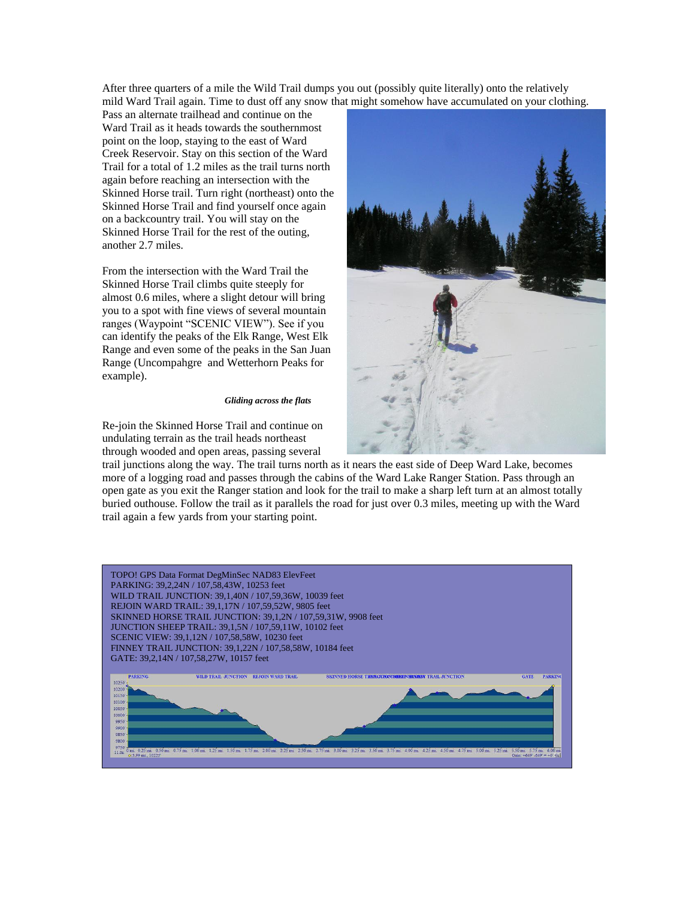After three quarters of a mile the Wild Trail dumps you out (possibly quite literally) onto the relatively mild Ward Trail again. Time to dust off any snow that might somehow have accumulated on your clothing.

Pass an alternate trailhead and continue on the Ward Trail as it heads towards the southernmost point on the loop, staying to the east of Ward Creek Reservoir. Stay on this section of the Ward Trail for a total of 1.2 miles as the trail turns north again before reaching an intersection with the Skinned Horse trail. Turn right (northeast) onto the Skinned Horse Trail and find yourself once again on a backcountry trail. You will stay on the Skinned Horse Trail for the rest of the outing, another 2.7 miles.

From the intersection with the Ward Trail the Skinned Horse Trail climbs quite steeply for almost 0.6 miles, where a slight detour will bring you to a spot with fine views of several mountain ranges (Waypoint "SCENIC VIEW"). See if you can identify the peaks of the Elk Range, West Elk Range and even some of the peaks in the San Juan Range (Uncompahgre and Wetterhorn Peaks for example).

## *Gliding across the flats*

Re-join the Skinned Horse Trail and continue on undulating terrain as the trail heads northeast through wooded and open areas, passing several

trail junctions along the way. The trail turns north as it nears the east side of Deep Ward Lake, becomes more of a logging road and passes through the cabins of the Ward Lake Ranger Station. Pass through an open gate as you exit the Ranger station and look for the trail to make a sharp left turn at an almost totally buried outhouse. Follow the trail as it parallels the road for just over 0.3 miles, meeting up with the Ward trail again a few yards from your starting point.

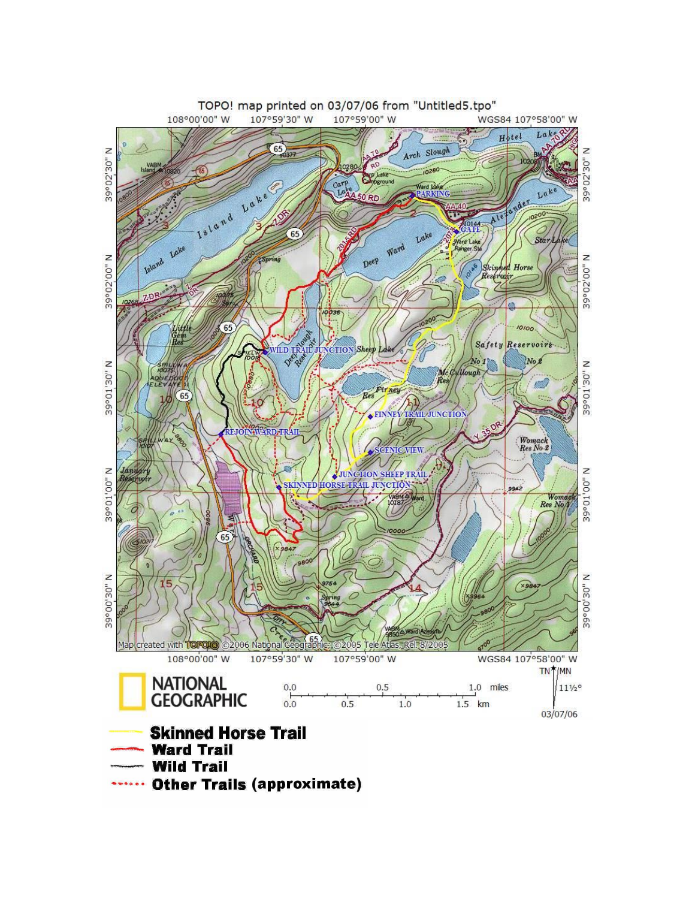